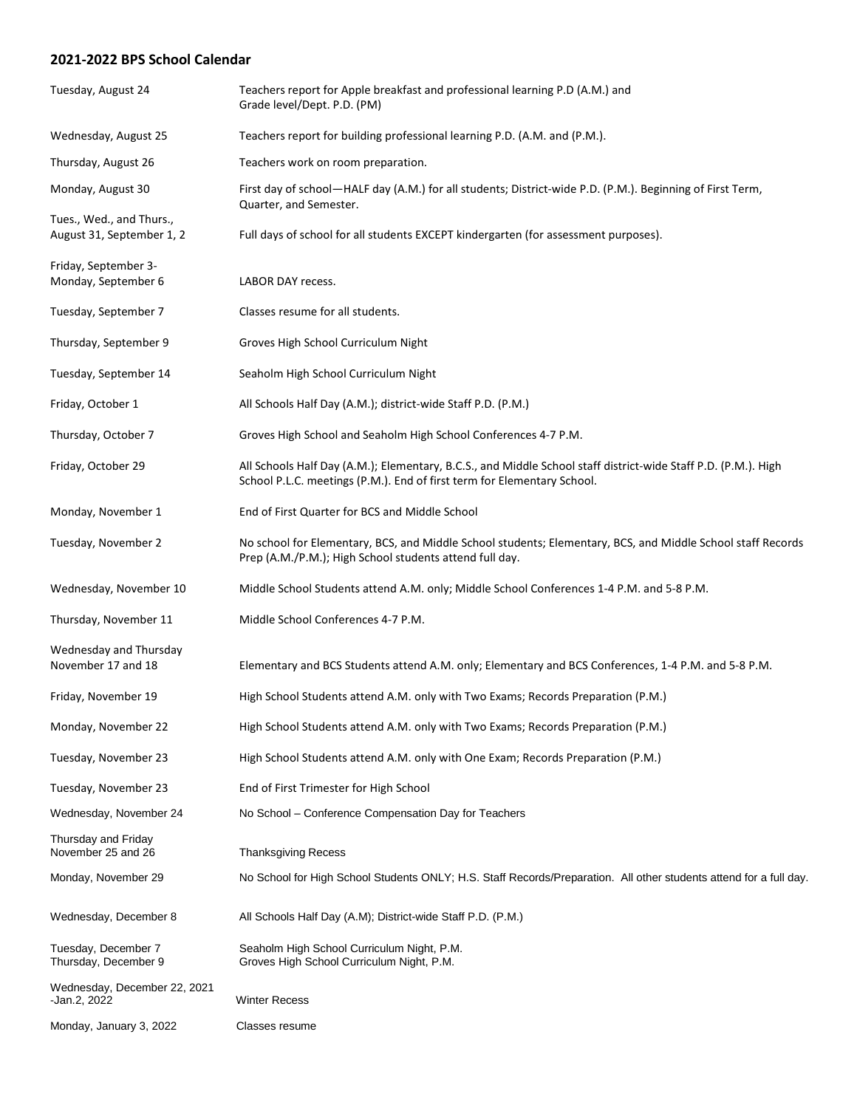## **2021-2022 BPS School Calendar**

| Tuesday, August 24                                    | Teachers report for Apple breakfast and professional learning P.D (A.M.) and<br>Grade level/Dept. P.D. (PM)                                                                               |
|-------------------------------------------------------|-------------------------------------------------------------------------------------------------------------------------------------------------------------------------------------------|
| Wednesday, August 25                                  | Teachers report for building professional learning P.D. (A.M. and (P.M.).                                                                                                                 |
| Thursday, August 26                                   | Teachers work on room preparation.                                                                                                                                                        |
| Monday, August 30                                     | First day of school—HALF day (A.M.) for all students; District-wide P.D. (P.M.). Beginning of First Term,<br>Quarter, and Semester.                                                       |
| Tues., Wed., and Thurs.,<br>August 31, September 1, 2 | Full days of school for all students EXCEPT kindergarten (for assessment purposes).                                                                                                       |
| Friday, September 3-<br>Monday, September 6           | <b>LABOR DAY recess.</b>                                                                                                                                                                  |
| Tuesday, September 7                                  | Classes resume for all students.                                                                                                                                                          |
| Thursday, September 9                                 | Groves High School Curriculum Night                                                                                                                                                       |
| Tuesday, September 14                                 | Seaholm High School Curriculum Night                                                                                                                                                      |
| Friday, October 1                                     | All Schools Half Day (A.M.); district-wide Staff P.D. (P.M.)                                                                                                                              |
| Thursday, October 7                                   | Groves High School and Seaholm High School Conferences 4-7 P.M.                                                                                                                           |
| Friday, October 29                                    | All Schools Half Day (A.M.); Elementary, B.C.S., and Middle School staff district-wide Staff P.D. (P.M.). High<br>School P.L.C. meetings (P.M.). End of first term for Elementary School. |
| Monday, November 1                                    | End of First Quarter for BCS and Middle School                                                                                                                                            |
| Tuesday, November 2                                   | No school for Elementary, BCS, and Middle School students; Elementary, BCS, and Middle School staff Records<br>Prep (A.M./P.M.); High School students attend full day.                    |
| Wednesday, November 10                                | Middle School Students attend A.M. only; Middle School Conferences 1-4 P.M. and 5-8 P.M.                                                                                                  |
| Thursday, November 11                                 | Middle School Conferences 4-7 P.M.                                                                                                                                                        |
| Wednesday and Thursday<br>November 17 and 18          | Elementary and BCS Students attend A.M. only; Elementary and BCS Conferences, 1-4 P.M. and 5-8 P.M.                                                                                       |
| Friday, November 19                                   | High School Students attend A.M. only with Two Exams; Records Preparation (P.M.)                                                                                                          |
| Monday, November 22                                   | High School Students attend A.M. only with Two Exams; Records Preparation (P.M.)                                                                                                          |
| Tuesday, November 23                                  | High School Students attend A.M. only with One Exam; Records Preparation (P.M.)                                                                                                           |
| Tuesday, November 23                                  | End of First Trimester for High School                                                                                                                                                    |
| Wednesday, November 24                                | No School - Conference Compensation Day for Teachers                                                                                                                                      |
| Thursday and Friday<br>November 25 and 26             | <b>Thanksgiving Recess</b>                                                                                                                                                                |
| Monday, November 29                                   | No School for High School Students ONLY; H.S. Staff Records/Preparation. All other students attend for a full day.                                                                        |
| Wednesday, December 8                                 | All Schools Half Day (A.M); District-wide Staff P.D. (P.M.)                                                                                                                               |
| Tuesday, December 7<br>Thursday, December 9           | Seaholm High School Curriculum Night, P.M.<br>Groves High School Curriculum Night, P.M.                                                                                                   |
| Wednesday, December 22, 2021<br>-Jan.2, 2022          | <b>Winter Recess</b>                                                                                                                                                                      |
| Monday, January 3, 2022                               | Classes resume                                                                                                                                                                            |